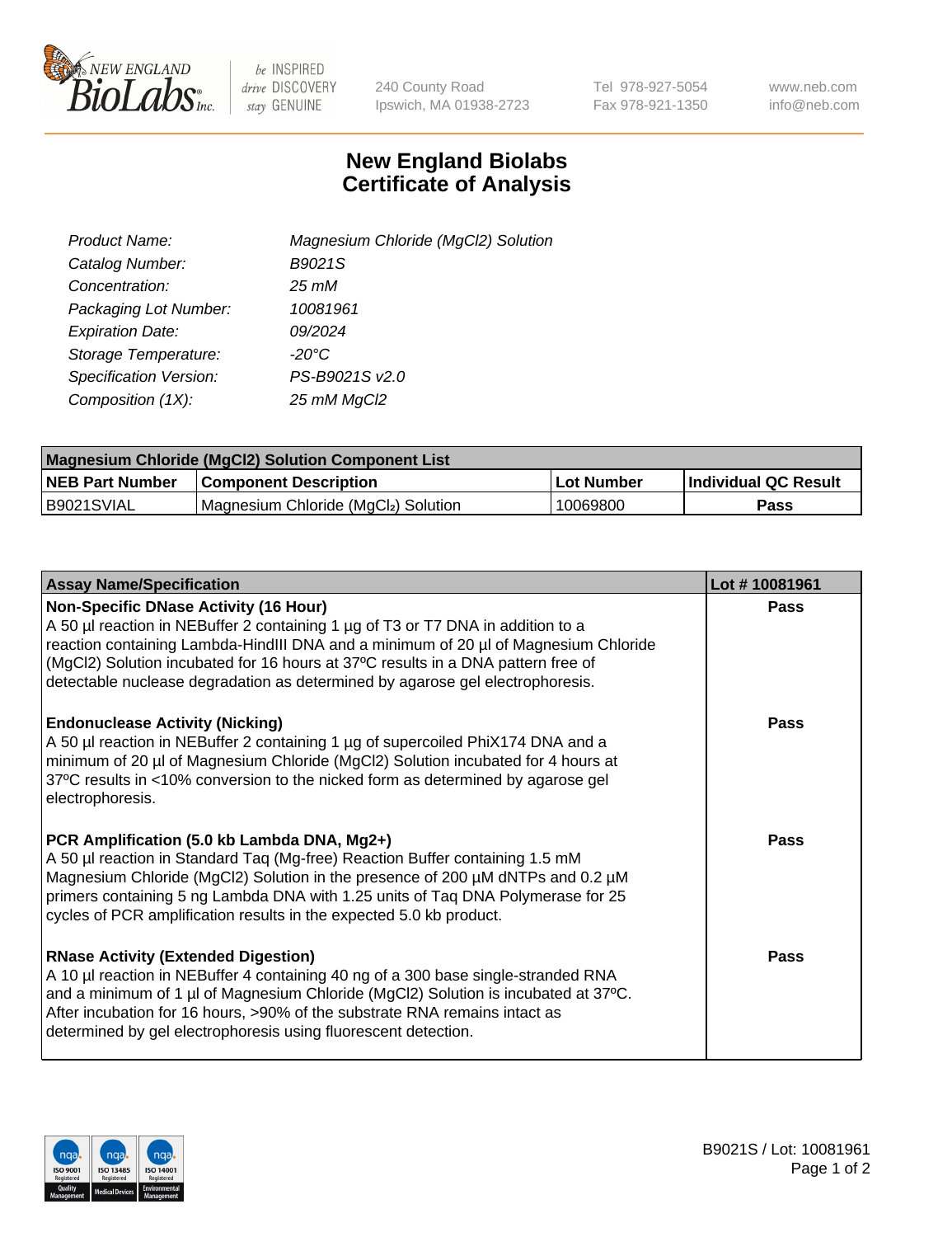

 $be$  INSPIRED drive DISCOVERY stay GENUINE

240 County Road Ipswich, MA 01938-2723 Tel 978-927-5054 Fax 978-921-1350 www.neb.com info@neb.com

## **New England Biolabs Certificate of Analysis**

| Product Name:                 | Magnesium Chloride (MgCl2) Solution |
|-------------------------------|-------------------------------------|
| Catalog Number:               | B9021S                              |
| Concentration:                | 25 mM                               |
| Packaging Lot Number:         | 10081961                            |
| <b>Expiration Date:</b>       | 09/2024                             |
| Storage Temperature:          | $-20^{\circ}$ C                     |
| <b>Specification Version:</b> | PS-B9021S v2.0                      |
| Composition (1X):             | 25 mM MgCl2                         |

| <b>Magnesium Chloride (MgCl2) Solution Component List</b> |                                     |            |                             |  |  |
|-----------------------------------------------------------|-------------------------------------|------------|-----------------------------|--|--|
| <b>NEB Part Number</b>                                    | <b>Component Description</b>        | Lot Number | <b>Individual QC Result</b> |  |  |
| B9021SVIAL                                                | Magnesium Chloride (MgCl2) Solution | 10069800   | Pass                        |  |  |

| <b>Assay Name/Specification</b>                                                                                                                                                                                                                                                                                                                                                             | Lot #10081961 |
|---------------------------------------------------------------------------------------------------------------------------------------------------------------------------------------------------------------------------------------------------------------------------------------------------------------------------------------------------------------------------------------------|---------------|
| <b>Non-Specific DNase Activity (16 Hour)</b><br>A 50 µl reaction in NEBuffer 2 containing 1 µg of T3 or T7 DNA in addition to a<br>reaction containing Lambda-HindIII DNA and a minimum of 20 µl of Magnesium Chloride<br>(MgCl2) Solution incubated for 16 hours at 37°C results in a DNA pattern free of<br>detectable nuclease degradation as determined by agarose gel electrophoresis. | <b>Pass</b>   |
| <b>Endonuclease Activity (Nicking)</b><br>A 50 µl reaction in NEBuffer 2 containing 1 µg of supercoiled PhiX174 DNA and a<br>minimum of 20 µl of Magnesium Chloride (MgCl2) Solution incubated for 4 hours at<br>37°C results in <10% conversion to the nicked form as determined by agarose gel<br>electrophoresis.                                                                        | Pass          |
| PCR Amplification (5.0 kb Lambda DNA, Mg2+)<br>A 50 µl reaction in Standard Taq (Mg-free) Reaction Buffer containing 1.5 mM<br>Magnesium Chloride (MgCl2) Solution in the presence of 200 µM dNTPs and 0.2 µM<br>primers containing 5 ng Lambda DNA with 1.25 units of Taq DNA Polymerase for 25<br>cycles of PCR amplification results in the expected 5.0 kb product.                     | Pass          |
| <b>RNase Activity (Extended Digestion)</b><br>A 10 µl reaction in NEBuffer 4 containing 40 ng of a 300 base single-stranded RNA<br>and a minimum of 1 µl of Magnesium Chloride (MgCl2) Solution is incubated at 37°C.<br>After incubation for 16 hours, >90% of the substrate RNA remains intact as<br>determined by gel electrophoresis using fluorescent detection.                       | Pass          |